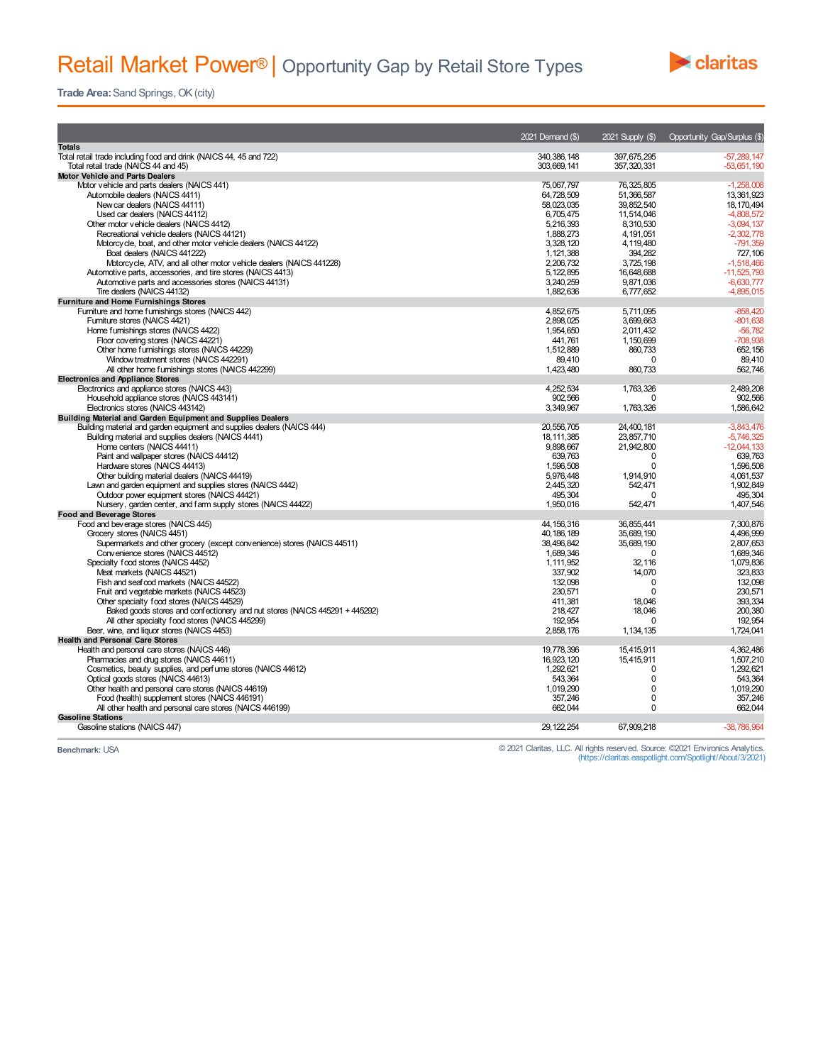## Retail Market Power<sup>®</sup> | Opportunity Gap by Retail Store Types



**Trade Area:** Sand Springs, OK (city)

|                                                                             | 2021 Demand (\$) | 2021 Supply (\$) | <b>Opportunity Gap/Surplus (\$)</b> |
|-----------------------------------------------------------------------------|------------------|------------------|-------------------------------------|
| <b>Totals</b>                                                               |                  |                  |                                     |
| Total retail trade including food and drink (NAICS 44, 45 and 722)          | 340, 386, 148    | 397,675,295      | $-57.289.147$                       |
| Total retail trade (NAICS 44 and 45)                                        | 303,669,141      | 357, 320, 331    | $-53,651,190$                       |
| <b>Motor Vehicle and Parts Dealers</b>                                      |                  |                  |                                     |
| Motor vehicle and parts dealers (NAICS 441)                                 | 75,067,797       | 76, 325, 805     | $-1,258,008$                        |
| Automobile dealers (NAICS 4411)                                             | 64.728.509       | 51.366.587       | 13.361.923                          |
| New car dealers (NAICS 44111)                                               | 58.023.035       | 39.852.540       | 18.170.494                          |
| Used car dealers (NAICS 44112)                                              | 6,705,475        | 11,514,046       | $-4,808,572$                        |
| Other motor vehicle dealers (NAICS 4412)                                    | 5.216.393        | 8.310.530        | $-3,094,137$                        |
| Recreational vehicle dealers (NAICS 44121)                                  | 1,888,273        | 4, 191, 051      | $-2,302,778$                        |
| Motorcycle, boat, and other motor vehicle dealers (NAICS 44122)             | 3.328.120        | 4.119.480        | $-791.359$                          |
| Boat dealers (NAICS 441222)                                                 | 1,121,388        | 394.282          | 727,106                             |
| Motorcycle, ATV, and all other motor vehicle dealers (NAICS 441228)         | 2,206,732        | 3,725,198        | $-1,518,466$                        |
| Automotive parts, accessories, and tire stores (NAICS 4413)                 | 5, 122, 895      | 16,648,688       | $-11,525,793$                       |
| Automotive parts and accessories stores (NAICS 44131)                       | 3,240,259        | 9,871,036        | $-6.630.777$                        |
| Tire dealers (NAICS 44132)                                                  | 1.882.636        | 6.777.652        | -4.895.015                          |
| <b>Furniture and Home Furnishings Stores</b>                                |                  |                  |                                     |
| Furniture and home furnishings stores (NAICS 442)                           | 4,852,675        | 5,711,095        | $-858,420$                          |
| Furniture stores (NAICS 4421)                                               | 2.898.025        | 3.699.663        | $-801.638$                          |
| Home furnishings stores (NAICS 4422)                                        | 1,954,650        | 2,011,432        | $-56,782$                           |
| Floor covering stores (NAICS 44221)                                         | 441.761          | 1.150.699        | $-708.938$                          |
| Other home furnishings stores (NAICS 44229)                                 | 1,512,889        | 860,733          | 652, 156                            |
| Window treatment stores (NAICS 442291)                                      | 89.410           | $\Omega$         | 89.410                              |
| All other home furnishings stores (NAICS 442299)                            | 1.423.480        | 860.733          | 562.746                             |
| <b>Electronics and Appliance Stores</b>                                     |                  |                  |                                     |
| Electronics and appliance stores (NAICS 443)                                | 4,252,534        | 1,763,326        | 2,489,208                           |
| Household appliance stores (NAICS 443141)                                   | 902,566          | $\Omega$         | 902.566                             |
| Electronics stores (NAICS 443142)                                           | 3,349,967        | 1,763,326        | 1.586.642                           |
| Building Material and Garden Equipment and Supplies Dealers                 |                  |                  |                                     |
| Building material and garden equipment and supplies dealers (NAICS 444)     | 20,556,705       | 24,400,181       | $-3,843,476$                        |
| Building material and supplies dealers (NAICS 4441)                         | 18.111.385       | 23.857.710       | $-5.746.325$                        |
| Home centers (NAICS 44411)                                                  | 9,898,667        | 21,942,800       | $-12,044,133$                       |
| Paint and wallpaper stores (NAICS 44412)                                    | 639.763          | $\Omega$         | 639.763                             |
| Hardware stores (NAICS 44413)                                               | 1,596,508        | 0                | 1,596,508                           |
| Other building material dealers (NAICS 44419)                               | 5,976,448        | 1,914,910        | 4,061,537                           |
| Lawn and garden equipment and supplies stores (NAICS 4442)                  | 2.445.320        | 542.471          | 1.902.849                           |
| Outdoor power equipment stores (NAICS 44421)                                | 495,304          | $\Omega$         | 495,304                             |
| Nursery, garden center, and farm supply stores (NAICS 44422)                | 1,950,016        | 542,471          | 1,407,546                           |
| <b>Food and Beverage Stores</b>                                             |                  |                  |                                     |
| Food and beverage stores (NAICS 445)                                        | 44, 156, 316     | 36,855,441       | 7.300.876                           |
| Grocery stores (NAICS 4451)                                                 | 40.186.189       | 35.689.190       | 4.496.999                           |
| Supermarkets and other grocery (except convenience) stores (NAICS 44511)    | 38,496,842       | 35,689,190       | 2,807,653                           |
| Convenience stores (NAICS 44512)                                            | 1,689,346        | $\Omega$         | 1,689,346                           |
| Specialty food stores (NAICS 4452)                                          | 1.111.952        | 32,116           | 1,079,836                           |
| Meat markets (NAICS 44521)                                                  | 337,902          | 14,070           | 323,833                             |
| Fish and seafood markets (NAICS 44522)                                      | 132,098          | 0                | 132,098                             |
| Fruit and vegetable markets (NAICS 44523)                                   | 230.571          | $\Omega$         | 230,571                             |
| Other specialty food stores (NAICS 44529)                                   | 411,381          | 18.046           | 393,334                             |
| Baked goods stores and confectionery and nut stores (NAICS 445291 + 445292) | 218,427          | 18.046           | 200.380                             |
| All other specialty food stores (NAICS 445299)                              | 192.954          | $\Omega$         | 192.954                             |
| Beer, wine, and liquor stores (NAICS 4453)                                  | 2,858,176        | 1, 134, 135      | 1,724,041                           |
| <b>Health and Personal Care Stores</b>                                      |                  |                  |                                     |
| Health and personal care stores (NAICS 446)                                 | 19.778.396       | 15.415.911       | 4.362.486                           |
| Pharmacies and drug stores (NAICS 44611)                                    | 16,923,120       | 15,415,911       | 1,507,210                           |
| Cosmetics, beauty supplies, and perfume stores (NAICS 44612)                | 1.292.621        | $\Omega$         | 1.292.621                           |
| Optical goods stores (NAICS 44613)                                          | 543.364          | $\Omega$         | 543.364                             |
| Other health and personal care stores (NAICS 44619)                         | 1.019.290        | $\Omega$         | 1.019.290                           |
| Food (health) supplement stores (NAICS 446191)                              | 357,246          | $\Omega$         | 357,246                             |
| All other health and personal care stores (NAICS 446199)                    | 662,044          | 0                | 662,044                             |
| <b>Gasoline Stations</b>                                                    |                  |                  |                                     |
| Gasoline stations (NAICS 447)                                               | 29, 122, 254     | 67,909,218       | $-38,786,964$                       |
|                                                                             |                  |                  |                                     |

Benchmark: USA Charitas, LLC. All rights reserved. Source: ©2021 Environics Analytics.<br>(https://claritas.easpotlight/About/3/2021) (https://claritas.easpotlight/About/3/2021) (https://claritas.easpotlight/About/3/2021)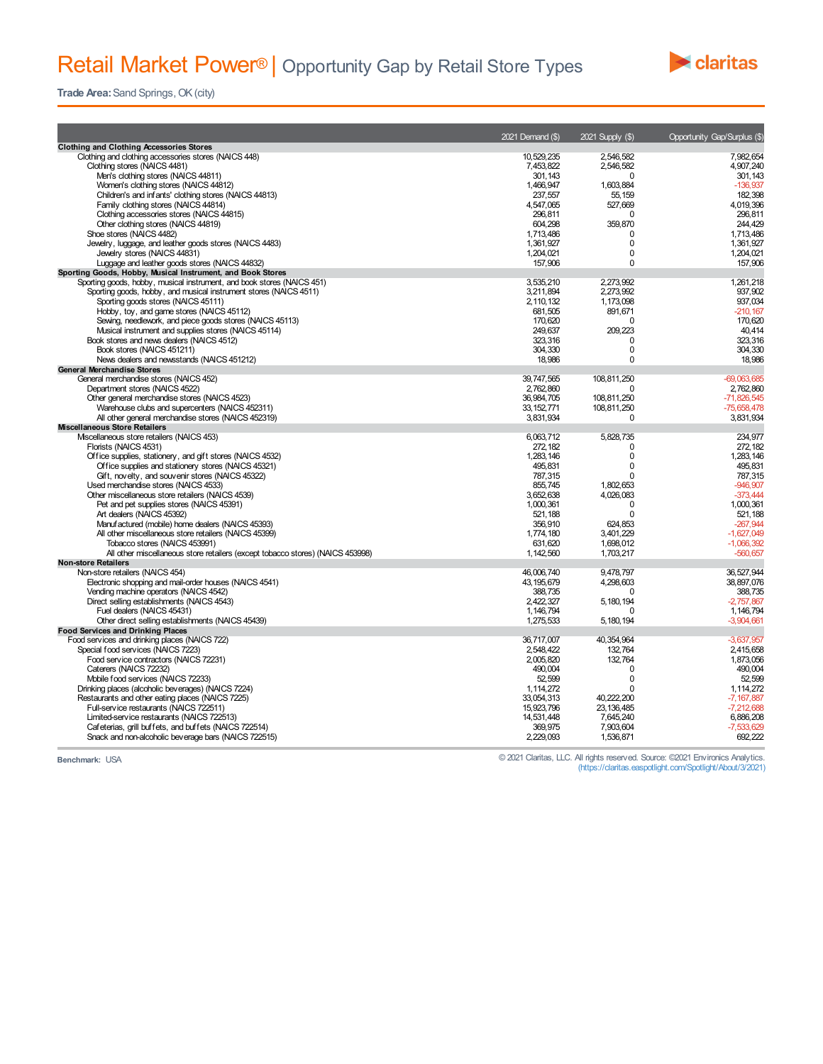## Retail Market Power<sup>®</sup> | Opportunity Gap by Retail Store Types



**Trade Area:** Sand Springs, OK (city)

|                                                                                         | 2021 Demand (\$)        | 2021 Supply (\$)        | <b>Opportunity Gap/Surplus (\$)</b> |
|-----------------------------------------------------------------------------------------|-------------------------|-------------------------|-------------------------------------|
| <b>Clothing and Clothing Accessories Stores</b>                                         |                         |                         |                                     |
| Clothing and clothing accessories stores (NAICS 448)                                    | 10.529.235              | 2.546.582               | 7.982.654                           |
| Clothing stores (NAICS 4481)                                                            | 7,453,822               | 2,546,582               | 4,907,240                           |
| Men's clothing stores (NAICS 44811)                                                     | 301, 143                | $\Omega$                | 301,143                             |
| Women's clothing stores (NAICS 44812)                                                   | 1.466.947               | 1.603.884               | $-136.937$                          |
| Children's and infants' clothing stores (NAICS 44813)                                   | 237,557                 | 55,159                  | 182,398                             |
| Family clothing stores (NAICS 44814)                                                    | 4,547,065               | 527,669                 | 4,019,396                           |
| Clothing accessories stores (NAICS 44815)                                               | 296.811                 | $\Omega$                | 296.811                             |
| Other clothing stores (NAICS 44819)                                                     | 604,298                 | 359,870<br>$\Omega$     | 244.429                             |
| Shoe stores (NAICS 4482)                                                                | 1,713,486               | $\mathbf 0$             | 1,713,486                           |
| Jewelry, luggage, and leather goods stores (NAICS 4483)<br>Jewelry stores (NAICS 44831) | 1,361,927               | $\mathbf 0$             | 1,361,927<br>1,204,021              |
| Luggage and leather goods stores (NAICS 44832)                                          | 1,204,021<br>157,906    | $\Omega$                | 157,906                             |
| Sporting Goods, Hobby, Musical Instrument, and Book Stores                              |                         |                         |                                     |
| Sporting goods, hobby, musical instrument, and book stores (NAICS 451)                  | 3,535,210               | 2.273.992               | 1,261,218                           |
| Sporting goods, hobby, and musical instrument stores (NAICS 4511)                       | 3.211.894               | 2.273.992               | 937.902                             |
| Sporting goods stores (NAICS 45111)                                                     | 2,110,132               | 1,173,098               | 937,034                             |
| Hobby, toy, and game stores (NAICS 45112)                                               | 681.505                 | 891.671                 | $-210.167$                          |
| Sewing, needlework, and piece goods stores (NAICS 45113)                                | 170,620                 | 0                       | 170,620                             |
| Musical instrument and supplies stores (NAICS 45114)                                    | 249,637                 | 209,223                 | 40,414                              |
| Book stores and news dealers (NAICS 4512)                                               | 323.316                 | $\Omega$                | 323,316                             |
| Book stores (NAICS 451211)                                                              | 304.330                 | $\mathbf 0$             | 304,330                             |
| News dealers and newsstands (NAICS 451212)                                              | 18,986                  | $\Omega$                | 18,986                              |
| <b>General Merchandise Stores</b>                                                       |                         |                         |                                     |
| General merchandise stores (NAICS 452)                                                  | 39,747,565              | 108,811,250             | $-69,063,685$                       |
| Department stores (NAICS 4522)                                                          | 2,762,860               | $\Omega$                | 2,762,860                           |
| Other general merchandise stores (NAICS 4523)                                           | 36,984,705              | 108,811,250             | $-71,826,545$                       |
| Warehouse clubs and supercenters (NAICS 452311)                                         | 33, 152, 771            | 108,811,250             | $-75.658.478$                       |
| All other general merchandise stores (NAICS 452319)                                     | 3,831,934               | $\Omega$                | 3,831,934                           |
| <b>Miscellaneous Store Retailers</b>                                                    |                         |                         |                                     |
| Mscellaneous store retailers (NAICS 453)                                                | 6,063,712               | 5,828,735               | 234,977                             |
| Florists (NAICS 4531)                                                                   | 272, 182                | 0                       | 272, 182                            |
| Office supplies, stationery, and gift stores (NAICS 4532)                               | 1,283,146               | 0                       | 1,283,146                           |
| Office supplies and stationery stores (NAICS 45321)                                     | 495,831                 | $\Omega$                | 495,831                             |
| Gift, novelty, and souvenir stores (NAICS 45322)                                        | 787,315                 | 0                       | 787,315                             |
| Used merchandise stores (NAICS 4533)                                                    | 855.745                 | 1,802,653               | $-946,907$                          |
| Other miscellaneous store retailers (NAICS 4539)                                        | 3,652,638               | 4,026,083               | $-373,444$                          |
| Pet and pet supplies stores (NAICS 45391)                                               | 1,000,361               | $\mathbf 0$             | 1,000,361                           |
| Art dealers (NAICS 45392)                                                               | 521.188                 | $\Omega$                | 521.188                             |
| Manufactured (mobile) home dealers (NAICS 45393)                                        | 356,910                 | 624,853                 | $-267,944$                          |
| All other miscellaneous store retailers (NAICS 45399)                                   | 1.774.180               | 3.401.229               | $-1.627.049$                        |
| Tobacco stores (NAICS 453991)                                                           | 631,620                 | 1.698.012               | $-1,066,392$                        |
| All other miscellaneous store retailers (except tobacco stores) (NAICS 453998)          | 1,142,560               | 1,703,217               | $-560,657$                          |
| <b>Non-store Retailers</b>                                                              |                         |                         |                                     |
| Non-store retailers (NAICS 454)                                                         | 46.006.740              | 9,478,797               | 36,527,944                          |
| Electronic shopping and mail-order houses (NAICS 4541)                                  | 43, 195, 679            | 4,298,603               | 38,897,076                          |
| Vending machine operators (NAICS 4542)                                                  | 388,735                 | $\Omega$                | 388,735                             |
| Direct selling establishments (NAICS 4543)                                              | 2,422,327               | 5, 180, 194<br>$\Omega$ | $-2.757.867$                        |
| Fuel dealers (NAICS 45431)                                                              | 1,146,794               |                         | 1, 146, 794                         |
| Other direct selling establishments (NAICS 45439)                                       | 1,275,533               | 5, 180, 194             | $-3,904,661$                        |
| <b>Food Services and Drinking Places</b>                                                |                         |                         |                                     |
| Food services and drinking places (NAICS 722)<br>Special food services (NAICS 7223)     | 36,717,007<br>2,548,422 | 40,354,964<br>132.764   | $-3,637,957$<br>2,415,658           |
| Food service contractors (NAICS 72231)                                                  | 2.005.820               | 132,764                 | 1,873,056                           |
| Caterers (NAICS 72232)                                                                  | 490.004                 | $\Omega$                | 490,004                             |
| Mobile food services (NAICS 72233)                                                      | 52.599                  | $\mathbf 0$             | 52,599                              |
| Drinking places (alcoholic beverages) (NAICS 7224)                                      | 1.114.272               | $\Omega$                | 1.114.272                           |
| Restaurants and other eating places (NAICS 7225)                                        | 33.054.313              | 40.222.200              | $-7,167,887$                        |
| Full-service restaurants (NAICS 722511)                                                 | 15,923,796              | 23, 136, 485            | $-7,212,688$                        |
| Limited-service restaurants (NAICS 722513)                                              | 14,531,448              | 7,645,240               | 6,886,208                           |
| Cafeterias, grill buffets, and buffets (NAICS 722514)                                   | 369.975                 | 7.903.604               | $-7.533.629$                        |
| Snack and non-alcoholic beverage bars (NAICS 722515)                                    | 2,229,093               | 1,536,871               | 692,222                             |
|                                                                                         |                         |                         |                                     |

**Benchmark:** USA © 2021 Claritas, LLC. All rights reserved. Source: ©2021 Environics Analytics. (https://claritas.easpotlight.com/Spotlight/About/3/2021)